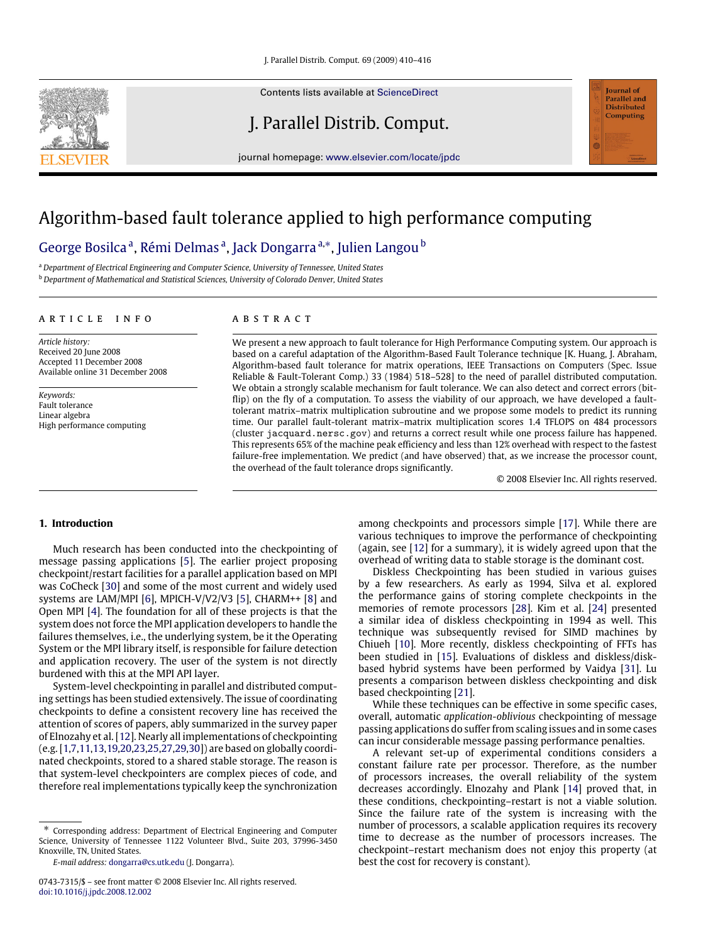Contents lists available at [ScienceDirect](http://www.elsevier.com/locate/jpdc)

# J. Parallel Distrib. Comput.

journal homepage: [www.elsevier.com/locate/jpdc](http://www.elsevier.com/locate/jpdc)

# Algorithm-based fault tolerance applied to high performance computing

# George Bosilcaª, Rémi Delmasª, Jack Dongarraª<sub>\*</sub>\*, Julien Langou <sup>b</sup>

<sup>a</sup> *Department of Electrical Engineering and Computer Science, University of Tennessee, United States*

<sup>b</sup> *Department of Mathematical and Statistical Sciences, University of Colorado Denver, United States*

## a r t i c l e i n f o

*Article history:* Received 20 June 2008 Accepted 11 December 2008 Available online 31 December 2008

*Keywords:* Fault tolerance Linear algebra High performance computing

# a b s t r a c t

We present a new approach to fault tolerance for High Performance Computing system. Our approach is based on a careful adaptation of the Algorithm-Based Fault Tolerance technique [K. Huang, J. Abraham, Algorithm-based fault tolerance for matrix operations, IEEE Transactions on Computers (Spec. Issue Reliable & Fault-Tolerant Comp.) 33 (1984) 518–528] to the need of parallel distributed computation. We obtain a strongly scalable mechanism for fault tolerance. We can also detect and correct errors (bitflip) on the fly of a computation. To assess the viability of our approach, we have developed a faulttolerant matrix–matrix multiplication subroutine and we propose some models to predict its running time. Our parallel fault-tolerant matrix–matrix multiplication scores 1.4 TFLOPS on 484 processors (cluster jacquard.nersc.gov) and returns a correct result while one process failure has happened. This represents 65% of the machine peak efficiency and less than 12% overhead with respect to the fastest failure-free implementation. We predict (and have observed) that, as we increase the processor count, the overhead of the fault tolerance drops significantly.

© 2008 Elsevier Inc. All rights reserved.

**Journal of**<br>Parallel and **Distributed** Computing

### **1. Introduction**

Much research has been conducted into the checkpointing of message passing applications [5]. The earlier project proposing checkpoint/restart facilities for a parallel application based on MPI was CoCheck [30] and some of the most current and widely used systems are LAM/MPI [6], MPICH-V/V2/V3 [5], CHARM++ [8] and Open MPI [4]. The foundation for all of these projects is that the system does not force the MPI application developers to handle the failures themselves, i.e., the underlying system, be it the Operating System or the MPI library itself, is responsible for failure detection and application recovery. The user of the system is not directly burdened with this at the MPI API layer.

System-level checkpointing in parallel and distributed computing settings has been studied extensively. The issue of coordinating checkpoints to define a consistent recovery line has received the attention of scores of papers, ably summarized in the survey paper of Elnozahy et al. [12]. Nearly all implementations of checkpointing (e.g. [1,7,11,13,19,20,23,25,27,29,30]) are based on globally coordinated checkpoints, stored to a shared stable storage. The reason is that system-level checkpointers are complex pieces of code, and therefore real implementations typically keep the synchronization

Corresponding address: Department of Electrical Engineering and Computer Science, University of Tennessee 1122 Volunteer Blvd., Suite 203, 37996-3450 Knoxville, TN, United States.

*E-mail address:* [dongarra@cs.utk.edu](mailto:dongarra@cs.utk.edu) (J. Dongarra).

among checkpoints and processors simple [17]. While there are various techniques to improve the performance of checkpointing (again, see [12] for a summary), it is widely agreed upon that the overhead of writing data to stable storage is the dominant cost.

Diskless Checkpointing has been studied in various guises by a few researchers. As early as 1994, Silva et al. explored the performance gains of storing complete checkpoints in the memories of remote processors [28]. Kim et al. [24] presented a similar idea of diskless checkpointing in 1994 as well. This technique was subsequently revised for SIMD machines by Chiueh [10]. More recently, diskless checkpointing of FFTs has been studied in [15]. Evaluations of diskless and diskless/diskbased hybrid systems have been performed by Vaidya [31]. Lu presents a comparison between diskless checkpointing and disk based checkpointing [21].

While these techniques can be effective in some specific cases, overall, automatic *application-oblivious* checkpointing of message passing applications do suffer from scaling issues and in some cases can incur considerable message passing performance penalties.

A relevant set-up of experimental conditions considers a constant failure rate per processor. Therefore, as the number of processors increases, the overall reliability of the system decreases accordingly. Elnozahy and Plank [14] proved that, in these conditions, checkpointing–restart is not a viable solution. Since the failure rate of the system is increasing with the number of processors, a scalable application requires its recovery time to decrease as the number of processors increases. The checkpoint–restart mechanism does not enjoy this property (at best the cost for recovery is constant).



<sup>0743-7315/\$ –</sup> see front matter © 2008 Elsevier Inc. All rights reserved. [doi:10.1016/j.jpdc.2008.12.002](http://dx.doi.org/10.1016/j.jpdc.2008.12.002)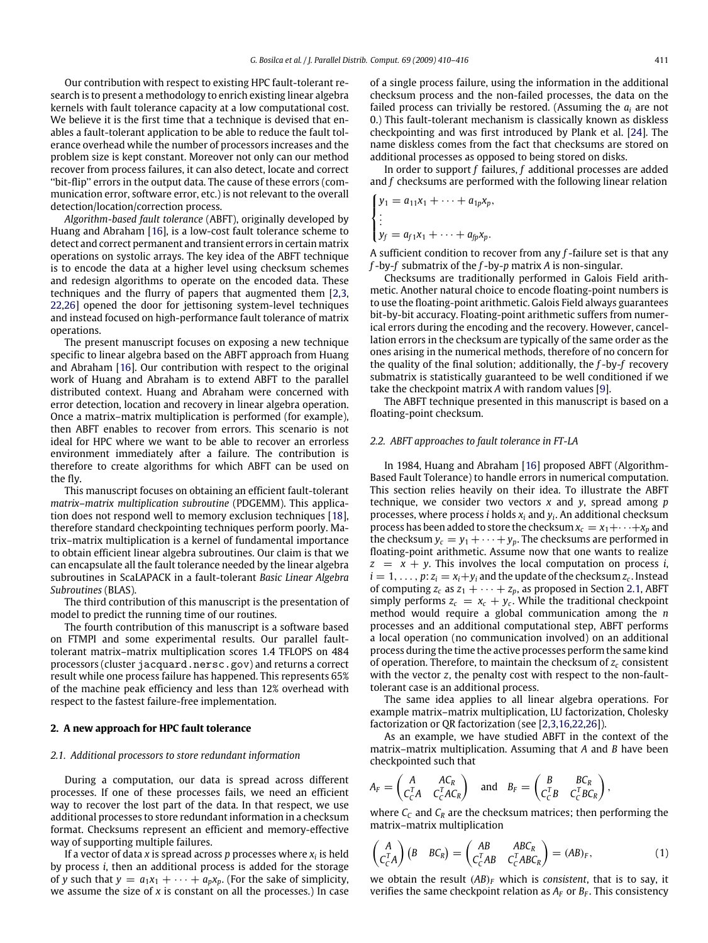Our contribution with respect to existing HPC fault-tolerant research is to present a methodology to enrich existing linear algebra kernels with fault tolerance capacity at a low computational cost. We believe it is the first time that a technique is devised that enables a fault-tolerant application to be able to reduce the fault tolerance overhead while the number of processors increases and the problem size is kept constant. Moreover not only can our method recover from process failures, it can also detect, locate and correct ''bit-flip'' errors in the output data. The cause of these errors (communication error, software error, etc.) is not relevant to the overall detection/location/correction process.

*Algorithm-based fault tolerance* (ABFT), originally developed by Huang and Abraham [16], is a low-cost fault tolerance scheme to detect and correct permanent and transient errors in certain matrix operations on systolic arrays. The key idea of the ABFT technique is to encode the data at a higher level using checksum schemes and redesign algorithms to operate on the encoded data. These techniques and the flurry of papers that augmented them [2,3, 22,26] opened the door for jettisoning system-level techniques and instead focused on high-performance fault tolerance of matrix operations.

The present manuscript focuses on exposing a new technique specific to linear algebra based on the ABFT approach from Huang and Abraham [16]. Our contribution with respect to the original work of Huang and Abraham is to extend ABFT to the parallel distributed context. Huang and Abraham were concerned with error detection, location and recovery in linear algebra operation. Once a matrix–matrix multiplication is performed (for example), then ABFT enables to recover from errors. This scenario is not ideal for HPC where we want to be able to recover an errorless environment immediately after a failure. The contribution is therefore to create algorithms for which ABFT can be used on the fly.

This manuscript focuses on obtaining an efficient fault-tolerant *matrix–matrix multiplication subroutine* (PDGEMM). This application does not respond well to memory exclusion techniques [18], therefore standard checkpointing techniques perform poorly. Matrix–matrix multiplication is a kernel of fundamental importance to obtain efficient linear algebra subroutines. Our claim is that we can encapsulate all the fault tolerance needed by the linear algebra subroutines in ScaLAPACK in a fault-tolerant *Basic Linear Algebra Subroutines* (BLAS).

The third contribution of this manuscript is the presentation of model to predict the running time of our routines.

The fourth contribution of this manuscript is a software based on FTMPI and some experimental results. Our parallel faulttolerant matrix–matrix multiplication scores 1.4 TFLOPS on 484 processors (cluster jacquard.nersc.gov) and returns a correct result while one process failure has happened. This represents 65% of the machine peak efficiency and less than 12% overhead with respect to the fastest failure-free implementation.

#### **2. A new approach for HPC fault tolerance**

#### *2.1. Additional processors to store redundant information*

During a computation, our data is spread across different processes. If one of these processes fails, we need an efficient way to recover the lost part of the data. In that respect, we use additional processes to store redundant information in a checksum format. Checksums represent an efficient and memory-effective way of supporting multiple failures.

If a vector of data *x* is spread across *p* processes where *x<sup>i</sup>* is held by process *i*, then an additional process is added for the storage of *y* such that  $y = a_1x_1 + \cdots + a_px_p$ . (For the sake of simplicity, we assume the size of *x* is constant on all the processes.) In case of a single process failure, using the information in the additional checksum process and the non-failed processes, the data on the failed process can trivially be restored. (Assuming the *a<sup>i</sup>* are not 0.) This fault-tolerant mechanism is classically known as diskless checkpointing and was first introduced by Plank et al. [24]. The name diskless comes from the fact that checksums are stored on additional processes as opposed to being stored on disks.

In order to support *f* failures, *f* additional processes are added and *f* checksums are performed with the following linear relation

$$
\begin{cases}\ny_1 = a_{11}x_1 + \cdots + a_{1p}x_p, \\
\vdots \\
y_f = a_{f1}x_1 + \cdots + a_{fp}x_p.\n\end{cases}
$$

A sufficient condition to recover from any *f* -failure set is that any *f* -by-*f* submatrix of the *f* -by-*p* matrix *A* is non-singular.

Checksums are traditionally performed in Galois Field arithmetic. Another natural choice to encode floating-point numbers is to use the floating-point arithmetic. Galois Field always guarantees bit-by-bit accuracy. Floating-point arithmetic suffers from numerical errors during the encoding and the recovery. However, cancellation errors in the checksum are typically of the same order as the ones arising in the numerical methods, therefore of no concern for the quality of the final solution; additionally, the *f* -by-*f* recovery submatrix is statistically guaranteed to be well conditioned if we take the checkpoint matrix *A* with random values [9].

The ABFT technique presented in this manuscript is based on a floating-point checksum.

# *2.2. ABFT approaches to fault tolerance in FT-LA*

In 1984, Huang and Abraham [16] proposed ABFT (Algorithm-Based Fault Tolerance) to handle errors in numerical computation. This section relies heavily on their idea. To illustrate the ABFT technique, we consider two vectors *x* and *y*, spread among *p* processes, where process *i* holds *x<sup>i</sup>* and *y<sup>i</sup>* . An additional checksum process has been added to store the checksum  $x_c = x_1 + \cdots + x_p$  and the checksum  $y_c = y_1 + \cdots + y_p$ . The checksums are performed in floating-point arithmetic. Assume now that one wants to realize  $z = x + y$ . This involves the local computation on process *i*,  $i = 1, \ldots, p$ :  $z_i = x_i + y_i$  and the update of the checksum  $z_c$ . Instead of computing  $z_c$  as  $z_1 + \cdots + z_p$ , as proposed in Section 2.1, ABFT simply performs  $z_c = x_c + y_c$ . While the traditional checkpoint method would require a global communication among the *n* processes and an additional computational step, ABFT performs a local operation (no communication involved) on an additional process during the time the active processes perform the same kind of operation. Therefore, to maintain the checksum of *z<sup>c</sup>* consistent with the vector *z*, the penalty cost with respect to the non-faulttolerant case is an additional process.

The same idea applies to all linear algebra operations. For example matrix–matrix multiplication, LU factorization, Cholesky factorization or QR factorization (see [2,3,16,22,26]).

As an example, we have studied ABFT in the context of the matrix–matrix multiplication. Assuming that *A* and *B* have been checkpointed such that

$$
A_F = \begin{pmatrix} A & AC_R \\ C_C^T A & C_C^T A C_R \end{pmatrix} \text{ and } B_F = \begin{pmatrix} B & BC_R \\ C_C^T B & C_C^T B C_R \end{pmatrix},
$$

where *C<sup>C</sup>* and *C<sup>R</sup>* are the checksum matrices; then performing the matrix–matrix multiplication

$$
\begin{pmatrix} A \\ C_C^T A \end{pmatrix} \begin{pmatrix} B & BC_R \end{pmatrix} = \begin{pmatrix} AB & ABC_R \\ C_C^T AB & C_C^T ABC_R \end{pmatrix} = (AB)_F, \tag{1}
$$

we obtain the result (*AB*)*<sup>F</sup>* which is *consistent*, that is to say, it verifies the same checkpoint relation as *A<sup>F</sup>* or *B<sup>F</sup>* . This consistency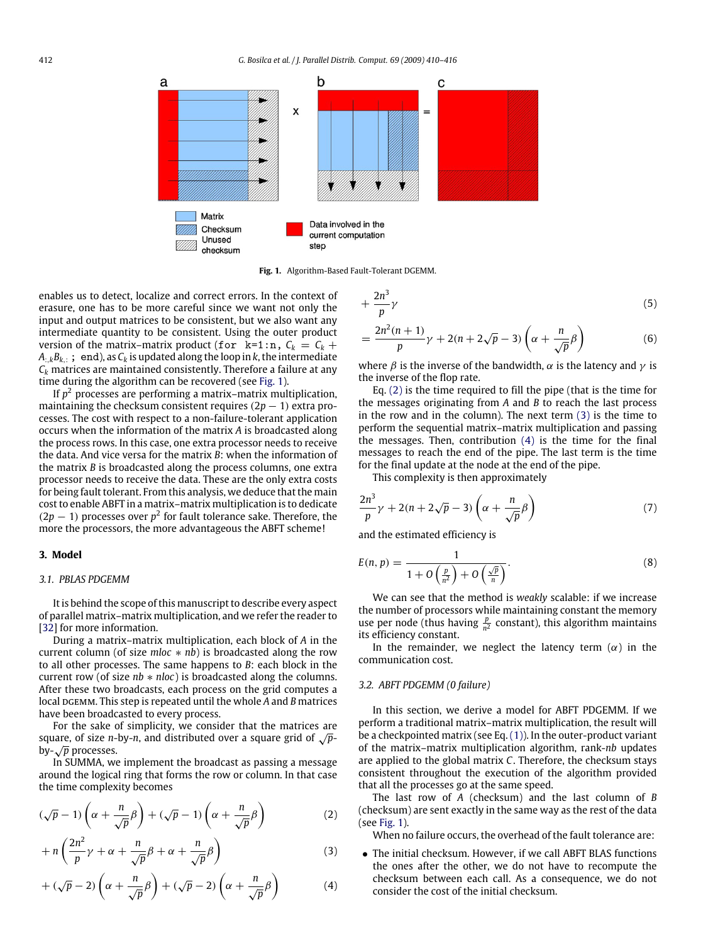

**Fig. 1.** Algorithm-Based Fault-Tolerant DGEMM.

enables us to detect, localize and correct errors. In the context of erasure, one has to be more careful since we want not only the input and output matrices to be consistent, but we also want any intermediate quantity to be consistent. Using the outer product version of the matrix–matrix product (for  $k=1:n$ ,  $C_k = C_k +$  $A_{\cdot,k}B_{k,:}$ ; end), as  $C_k$  is updated along the loop in *k*, the intermediate  $C_k$  matrices are maintained consistently. Therefore a failure at any time during the algorithm can be recovered (see Fig. 1).

If *p* <sup>2</sup> processes are performing a matrix–matrix multiplication, maintaining the checksum consistent requires  $(2p - 1)$  extra processes. The cost with respect to a non-failure-tolerant application occurs when the information of the matrix *A* is broadcasted along the process rows. In this case, one extra processor needs to receive the data. And vice versa for the matrix *B*: when the information of the matrix *B* is broadcasted along the process columns, one extra processor needs to receive the data. These are the only extra costs for being fault tolerant. From this analysis, we deduce that the main cost to enable ABFT in a matrix–matrix multiplication is to dedicate  $(2p - 1)$  processes over  $p^2$  for fault tolerance sake. Therefore, the more the processors, the more advantageous the ABFT scheme!

## **3. Model**

## *3.1. PBLAS PDGEMM*

It is behind the scope of this manuscript to describe every aspect of parallel matrix–matrix multiplication, and we refer the reader to [32] for more information.

During a matrix–matrix multiplication, each block of *A* in the current column (of size *mloc* ∗ *nb*) is broadcasted along the row to all other processes. The same happens to *B*: each block in the current row (of size *nb* ∗ *nloc*) is broadcasted along the columns. After these two broadcasts, each process on the grid computes a local DGEMM. This step is repeated until the whole *A* and *B* matrices have been broadcasted to every process.

For the sake of simplicity, we consider that the matrices are square, of size *<sup>n</sup>*-by-*n*, and distributed over a square grid of <sup>√</sup> *p*square, or size *n−*<br>by-√*p* processes.

In SUMMA, we implement the broadcast as passing a message around the logical ring that forms the row or column. In that case the time complexity becomes

$$
(\sqrt{p}-1)\left(\alpha+\frac{n}{\sqrt{p}}\beta\right)+(\sqrt{p}-1)\left(\alpha+\frac{n}{\sqrt{p}}\beta\right) \tag{2}
$$

$$
+ n \left( \frac{2n^2}{p} \gamma + \alpha + \frac{n}{\sqrt{p}} \beta + \alpha + \frac{n}{\sqrt{p}} \beta \right)
$$
 (3)

$$
+(\sqrt{p}-2)\left(\alpha+\frac{n}{\sqrt{p}}\beta\right)+(\sqrt{p}-2)\left(\alpha+\frac{n}{\sqrt{p}}\beta\right) (4)
$$

$$
+\frac{2n^3}{p}\gamma\tag{5}
$$

$$
=\frac{2n^2(n+1)}{p}\gamma+2(n+2\sqrt{p}-3)\left(\alpha+\frac{n}{\sqrt{p}}\beta\right)
$$
(6)

where  $\beta$  is the inverse of the bandwidth,  $\alpha$  is the latency and  $\nu$  is the inverse of the flop rate.

Eq. (2) is the time required to fill the pipe (that is the time for the messages originating from *A* and *B* to reach the last process in the row and in the column). The next term (3) is the time to perform the sequential matrix–matrix multiplication and passing the messages. Then, contribution (4) is the time for the final messages to reach the end of the pipe. The last term is the time for the final update at the node at the end of the pipe.

This complexity is then approximately

$$
\frac{2n^3}{p}\gamma + 2(n+2\sqrt{p}-3)\left(\alpha + \frac{n}{\sqrt{p}}\beta\right) \tag{7}
$$

and the estimated efficiency is

$$
E(n, p) = \frac{1}{1 + \mathcal{O}\left(\frac{p}{n^2}\right) + \mathcal{O}\left(\frac{\sqrt{p}}{n}\right)}.
$$
\n(8)

We can see that the method is *weakly* scalable: if we increase the number of processors while maintaining constant the memory use per node (thus having  $\frac{p}{n^2}$  constant), this algorithm maintains its efficiency constant.

In the remainder, we neglect the latency term  $(\alpha)$  in the communication cost.

#### *3.2. ABFT PDGEMM (0 failure)*

In this section, we derive a model for ABFT PDGEMM. If we perform a traditional matrix–matrix multiplication, the result will be a checkpointed matrix (see Eq. (1)). In the outer-product variant of the matrix–matrix multiplication algorithm, rank-*nb* updates are applied to the global matrix *C*. Therefore, the checksum stays consistent throughout the execution of the algorithm provided that all the processes go at the same speed.

The last row of *A* (checksum) and the last column of *B* (checksum) are sent exactly in the same way as the rest of the data (see Fig. 1).

When no failure occurs, the overhead of the fault tolerance are:

• The initial checksum. However, if we call ABFT BLAS functions the ones after the other, we do not have to recompute the checksum between each call. As a consequence, we do not consider the cost of the initial checksum.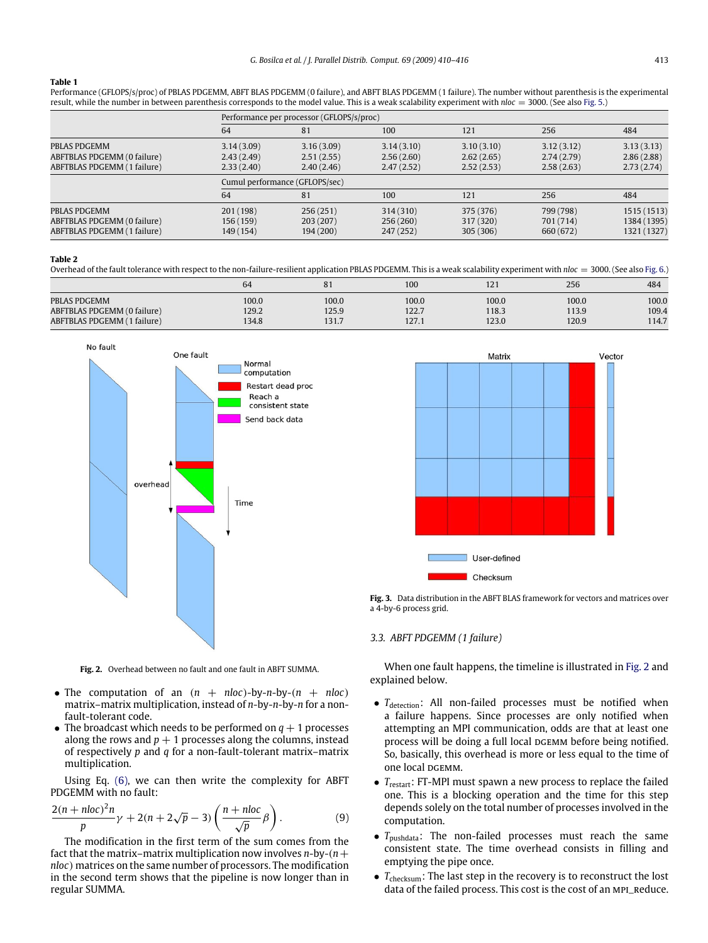#### **Table 1**

Performance (GFLOPS/s/proc) of PBLAS PDGEMM, ABFT BLAS PDGEMM (0 failure), and ABFT BLAS PDGEMM (1 failure). The number without parenthesis is the experimental result, while the number in between parenthesis corresponds to the model value. This is a weak scalability experiment with *nloc* = 3000. (See also Fig. 5.)

|                             | Performance per processor (GFLOPS/s/proc) |            |            |            |            |             |  |  |  |
|-----------------------------|-------------------------------------------|------------|------------|------------|------------|-------------|--|--|--|
|                             | 64                                        | 81         | 100        | 121        | 256        | 484         |  |  |  |
| PBLAS PDGEMM                | 3.14(3.09)                                | 3.16(3.09) | 3.14(3.10) | 3.10(3.10) | 3.12(3.12) | 3.13(3.13)  |  |  |  |
| ABFTBLAS PDGEMM (0 failure) | 2.43(2.49)                                | 2.51(2.55) | 2.56(2.60) | 2.62(2.65) | 2.74(2.79) | 2.86(2.88)  |  |  |  |
| ABFTBLAS PDGEMM (1 failure) | 2.33(2.40)                                | 2.40(2.46) | 2.47(2.52) | 2.52(2.53) | 2.58(2.63) | 2.73(2.74)  |  |  |  |
|                             | Cumul performance (GFLOPS/sec)            |            |            |            |            |             |  |  |  |
|                             |                                           |            |            |            |            |             |  |  |  |
|                             | 64                                        | 81         | 100        | 121        | 256        | 484         |  |  |  |
| PBLAS PDGEMM                | 201 (198)                                 | 256(251)   | 314 (310)  | 375 (376)  | 799 (798)  | 1515 (1513) |  |  |  |
| ABFTBLAS PDGEMM (0 failure) | 156 (159)                                 | 203 (207)  | 256 (260)  | 317 (320)  | 701 (714)  | 1384 (1395) |  |  |  |

#### **Table 2**

Overhead of the fault tolerance with respect to the non-failure-resilient application PBLAS PDGEMM. This is a weak scalability experiment with *nloc* = 3000. (See also Fig. 6.)

|                                             | 64             |                | 100            | 121            | 256            | 484            |
|---------------------------------------------|----------------|----------------|----------------|----------------|----------------|----------------|
| PBLAS PDGEMM<br>ABFTBLAS PDGEMM (0 failure) | 100.0<br>129.2 | 100.0<br>125.9 | 100.0<br>122.7 | 100.0<br>118.3 | 100.0<br>113.9 | 100.0<br>109.4 |
| ABFTBLAS PDGEMM (1 failure)                 | 134.8          | 131.7          | 127.1          | 123.0          | 120.9          | 114.7          |



**Fig. 2.** Overhead between no fault and one fault in ABFT SUMMA.

- The computation of an  $(n + nloc)$ -by-n-by- $(n + nloc)$ matrix–matrix multiplication, instead of *n*-by-*n*-by-*n* for a nonfault-tolerant code.
- The broadcast which needs to be performed on  $q + 1$  processes along the rows and  $p + 1$  processes along the columns, instead of respectively *p* and *q* for a non-fault-tolerant matrix–matrix multiplication.

Using Eq. (6), we can then write the complexity for ABFT PDGEMM with no fault:

$$
\frac{2(n + n\alpha c)^2 n}{p} \gamma + 2(n + 2\sqrt{p} - 3) \left( \frac{n + n\alpha c}{\sqrt{p}} \beta \right).
$$
 (9)

The modification in the first term of the sum comes from the fact that the matrix–matrix multiplication now involves *n*-by-(*n*+ *nloc*) matrices on the same number of processors. The modification in the second term shows that the pipeline is now longer than in regular SUMMA.



**Fig. 3.** Data distribution in the ABFT BLAS framework for vectors and matrices over a 4-by-6 process grid.

#### *3.3. ABFT PDGEMM (1 failure)*

When one fault happens, the timeline is illustrated in Fig. 2 and explained below.

- *T*<sub>detection</sub>: All non-failed processes must be notified when a failure happens. Since processes are only notified when attempting an MPI communication, odds are that at least one process will be doing a full local DGEMM before being notified. So, basically, this overhead is more or less equal to the time of one local DGEMM.
- *T*<sub>restart</sub>: FT-MPI must spawn a new process to replace the failed one. This is a blocking operation and the time for this step depends solely on the total number of processes involved in the computation.
- *T*pushdata: The non-failed processes must reach the same consistent state. The time overhead consists in filling and emptying the pipe once.
- $\bullet$   $T_{\text{checksum}}$ : The last step in the recovery is to reconstruct the lost data of the failed process. This cost is the cost of an MPI\_Reduce.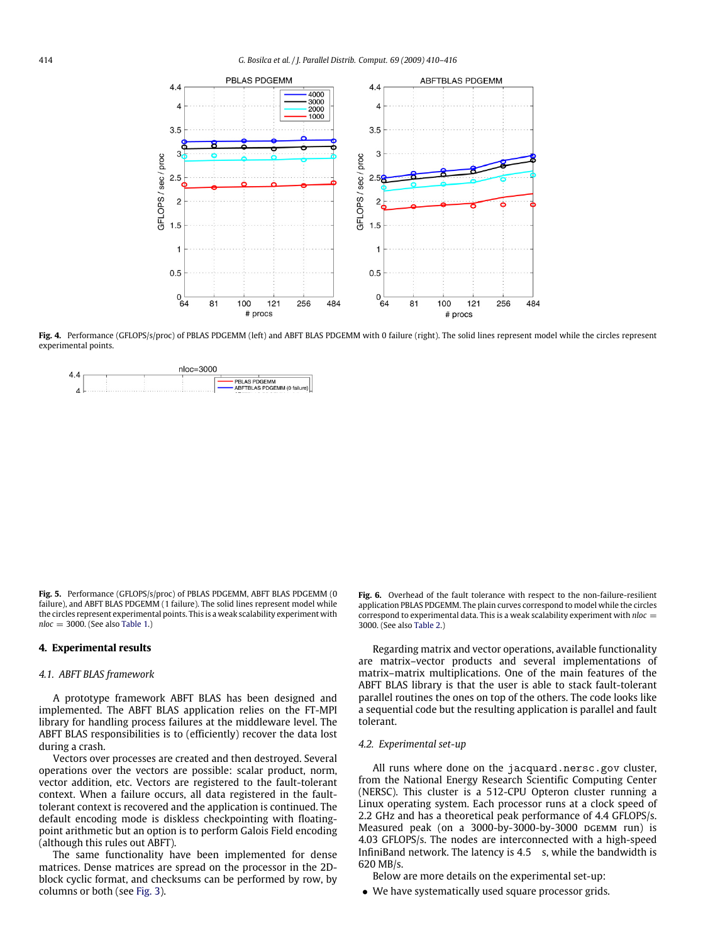

Fig. 4. Performance (GFLOPS/s/proc) of PBLAS PDGEMM (left) and ABFT BLAS PDGEMM with 0 failure (right). The solid lines represent model while the circles represent experimental points.

**Fig. 5.** Performance (GFLOPS/s/proc) of PBLAS PDGEMM, ABFT BLAS PDGEMM (0 failure), and ABFT BLAS PDGEMM (1 failure). The solid lines represent model while the circles represent experimental points. This is a weak scalability experiment with *nloc* = 3000. (See also Table 1.)

# **4. Experimental results**

# *4.1. ABFT BLAS framework*

A prototype framework ABFT BLAS has been designed and implemented. The ABFT BLAS application relies on the FT-MPI library for handling process failures at the middleware level. The ABFT BLAS responsibilities is to (efficiently) recover the data lost during a crash.

Vectors over processes are created and then destroyed. Several operations over the vectors are possible: scalar product, norm, vector addition, etc. Vectors are registered to the fault-tolerant context. When a failure occurs, all data registered in the faulttolerant context is recovered and the application is continued. The default encoding mode is diskless checkpointing with floatingpoint arithmetic but an option is to perform Galois Field encoding (although this rules out ABFT).

The same functionality have been implemented for dense matrices. Dense matrices are spread on the processor in the 2Dblock cyclic format, and checksums can be performed by row, by columns or both (see Fig. 3).

**Fig. 6.** Overhead of the fault tolerance with respect to the non-failure-resilient application PBLAS PDGEMM. The plain curves correspond to model while the circles correspond to experimental data. This is a weak scalability experiment with  $nloc =$ 3000. (See also Table 2.)

Regarding matrix and vector operations, available functionality are matrix–vector products and several implementations of matrix–matrix multiplications. One of the main features of the ABFT BLAS library is that the user is able to stack fault-tolerant parallel routines the ones on top of the others. The code looks like a sequential code but the resulting application is parallel and fault tolerant.

#### *4.2. Experimental set-up*

All runs where done on the jacquard.nersc.gov cluster, from the National Energy Research Scientific Computing Center (NERSC). This cluster is a 512-CPU Opteron cluster running a Linux operating system. Each processor runs at a clock speed of 2.2 GHz and has a theoretical peak performance of 4.4 GFLOPS/s. Measured peak (on a 3000-by-3000-by-3000 DGEMM run) is 4.03 GFLOPS/s. The nodes are interconnected with a high-speed InfiniBand network. The latency is 4.5 ms, while the bandwidth is 620 MB/s.

Below are more details on the experimental set-up:

• We have systematically used square processor grids.